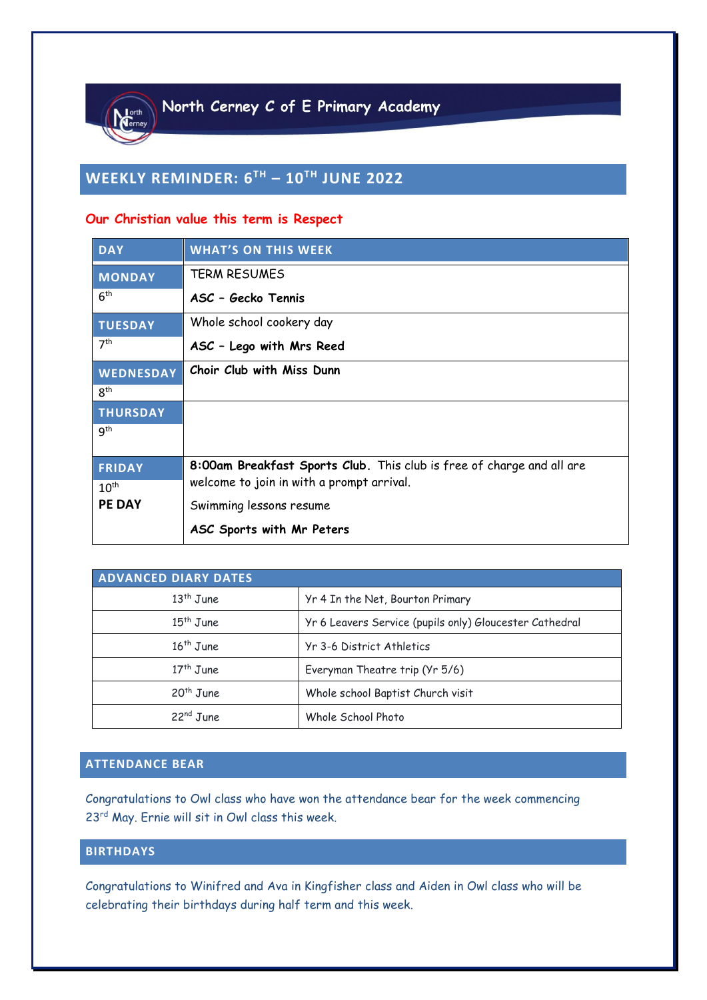

# **WEEKLY REMINDER: 6 TH – 10TH JUNE 2022**

#### **Our Christian value this term is Respect**

| <b>DAY</b>       | <b>WHAT'S ON THIS WEEK</b>                                            |
|------------------|-----------------------------------------------------------------------|
| <b>MONDAY</b>    | <b>TERM RESUMES</b>                                                   |
| 6 <sup>th</sup>  | ASC - Gecko Tennis                                                    |
| <b>TUESDAY</b>   | Whole school cookery day                                              |
| 7 <sup>th</sup>  | ASC - Lego with Mrs Reed                                              |
| WEDNESDAY        | Choir Club with Miss Dunn                                             |
| 8 <sup>th</sup>  |                                                                       |
| <b>THURSDAY</b>  |                                                                       |
| <b>g</b> th      |                                                                       |
|                  |                                                                       |
| <b>FRIDAY</b>    | 8:00am Breakfast Sports Club. This club is free of charge and all are |
| 10 <sup>th</sup> | welcome to join in with a prompt arrival.                             |
| <b>PE DAY</b>    | Swimming lessons resume                                               |
|                  | ASC Sports with Mr Peters                                             |

| <b>ADVANCED DIARY DATES</b> |                                                         |  |  |
|-----------------------------|---------------------------------------------------------|--|--|
| $13th$ June                 | Yr 4 In the Net, Bourton Primary                        |  |  |
| $15th$ June                 | Yr 6 Leavers Service (pupils only) Gloucester Cathedral |  |  |
| $16th$ June                 | Yr 3-6 District Athletics                               |  |  |
| $17th$ June                 | Everyman Theatre trip (Yr 5/6)                          |  |  |
| 20 <sup>th</sup> June       | Whole school Baptist Church visit                       |  |  |
| 22 <sup>nd</sup> June       | Whole School Photo                                      |  |  |

#### **ATTENDANCE BEAR**

Congratulations to Owl class who have won the attendance bear for the week commencing 23rd May. Ernie will sit in Owl class this week.

### **BIRTHDAYS**

Congratulations to Winifred and Ava in Kingfisher class and Aiden in Owl class who will be celebrating their birthdays during half term and this week.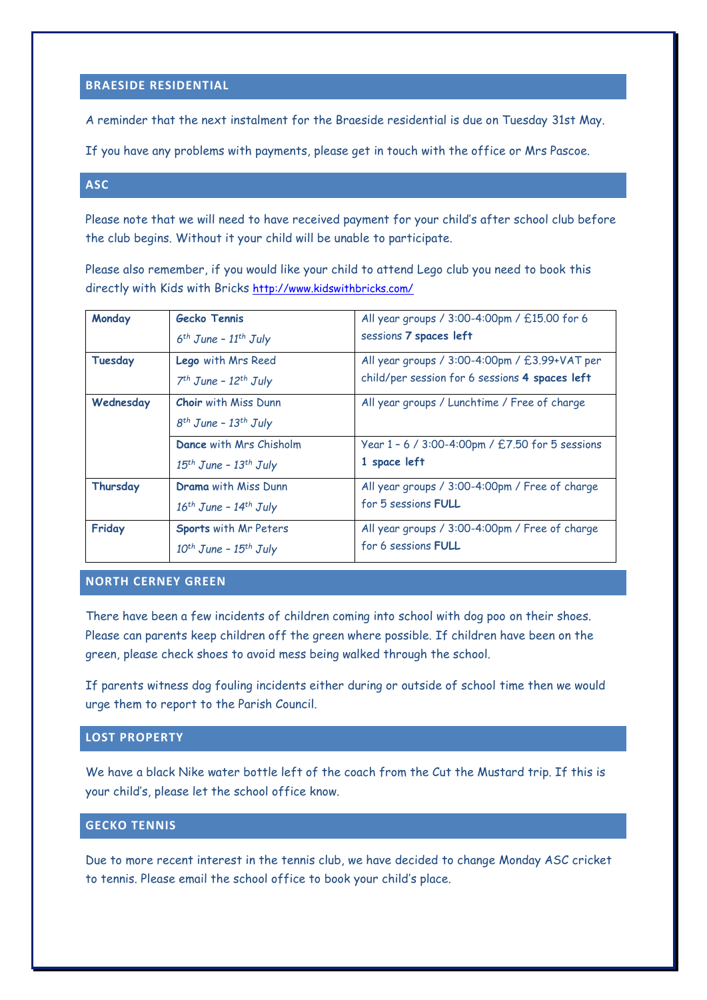#### **BRAESIDE RESIDENTIAL**

A reminder that the next instalment for the Braeside residential is due on Tuesday 31st May.

If you have any problems with payments, please get in touch with the office or Mrs Pascoe.

#### **ASC**

Please note that we will need to have received payment for your child's after school club before the club begins. Without it your child will be unable to participate.

Please also remember, if you would like your child to attend Lego club you need to book this directly with Kids with Bricks <http://www.kidswithbricks.com/>

| Monday         | <b>Gecko Tennis</b><br>$6th$ June - 11 <sup>th</sup> July            | All year groups / 3:00-4:00pm / £15.00 for 6<br>sessions 7 spaces left                          |
|----------------|----------------------------------------------------------------------|-------------------------------------------------------------------------------------------------|
| <b>Tuesday</b> | <b>Lego</b> with Mrs Reed<br>$7th$ June - 12 <sup>th</sup> July      | All year groups / 3:00-4:00pm / £3.99+VAT per<br>child/per session for 6 sessions 4 spaces left |
| Wednesday      | <b>Choir</b> with Miss Dunn<br>$8^{th}$ June - 13 <sup>th</sup> July | All year groups / Lunchtime / Free of charge                                                    |
|                | Dance with Mrs Chisholm<br>$15th$ June - $13th$ July                 | Year 1 - 6 / 3:00-4:00pm / £7.50 for 5 sessions<br>1 space left                                 |
| Thursday       | Drama with Miss Dunn<br>$16th$ June - $14th$ July                    | All year groups / 3:00-4:00pm / Free of charge<br>for 5 sessions FULL                           |
| Friday         | Sports with Mr Peters<br>$10^{th}$ June - $15^{th}$ July             | All year groups / 3:00-4:00pm / Free of charge<br>for 6 sessions FULL                           |

#### **NORTH CERNEY GREEN**

There have been a few incidents of children coming into school with dog poo on their shoes. Please can parents keep children off the green where possible. If children have been on the green, please check shoes to avoid mess being walked through the school.

If parents witness dog fouling incidents either during or outside of school time then we would urge them to report to the Parish Council.

#### **LOST PROPERTY**

We have a black Nike water bottle left of the coach from the Cut the Mustard trip. If this is your child's, please let the school office know.

#### **GECKO TENNIS**

Due to more recent interest in the tennis club, we have decided to change Monday ASC cricket to tennis. Please email the school office to book your child's place.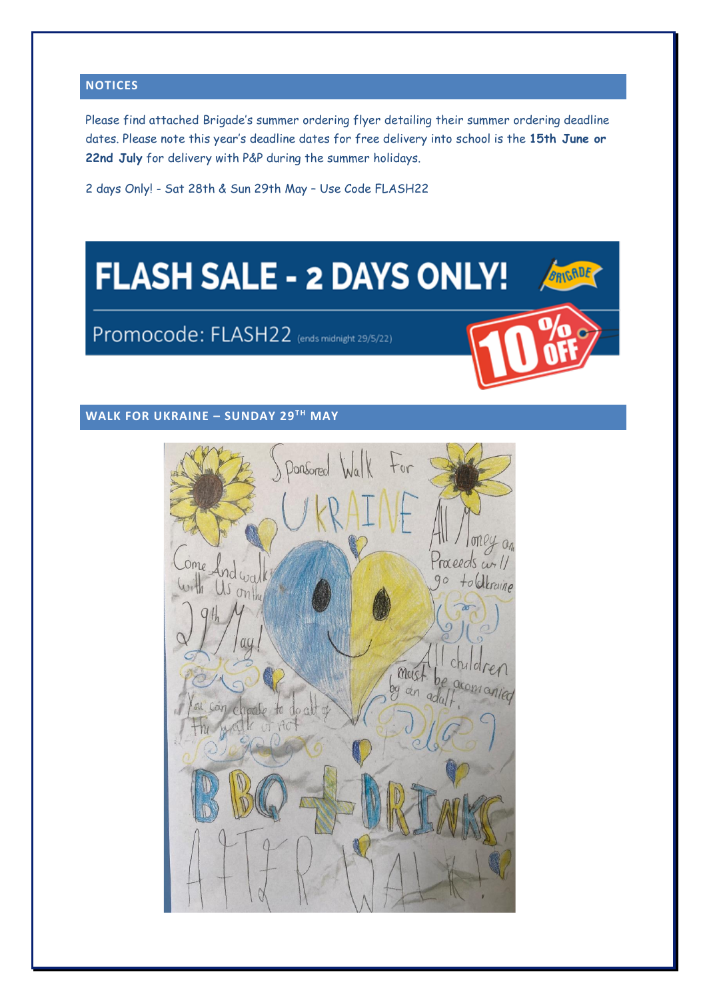#### **NOTICES**

Please find attached Brigade's summer ordering flyer detailing their summer ordering deadline dates. Please note this year's deadline dates for free delivery into school is the **15th June or 22nd July** for delivery with P&P during the summer holidays.

2 days Only! - Sat 28th & Sun 29th May – Use Code FLASH22

# **FLASH SALE - 2 DAYS ONLY!**

# Promocode: FLASH22 (ends midnight 29/5/22)



GRIGADE

## **WALK FOR UKRAINE – SUNDAY 29TH MAY**